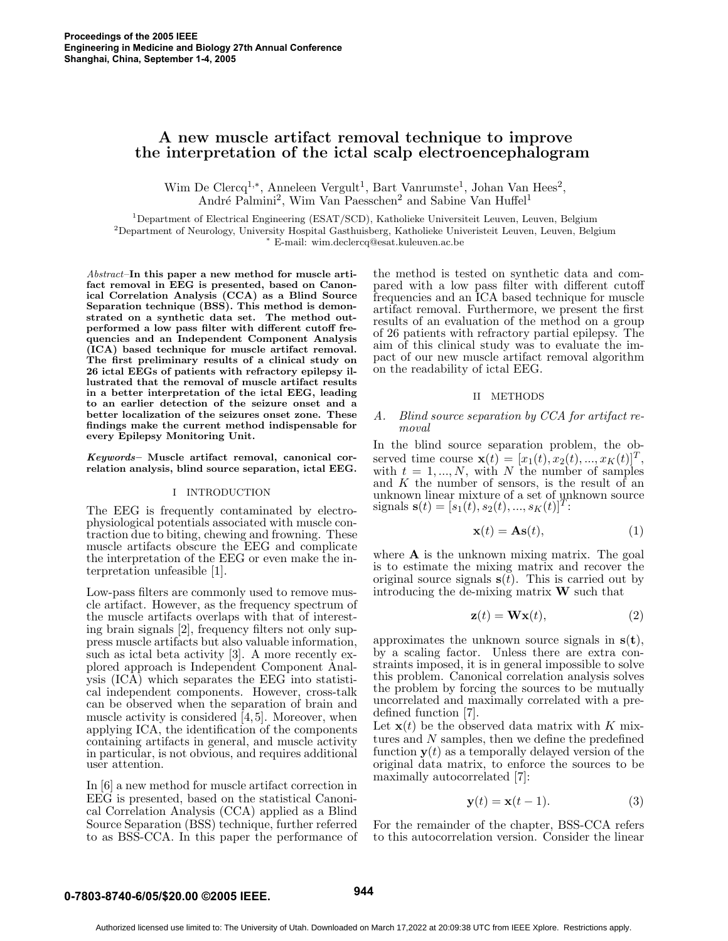# **A new muscle artifact removal technique to improve the interpretation of the ictal scalp electroencephalogram**

Wim De Clercq<sup>1,∗</sup>, Anneleen Vergult<sup>1</sup>, Bart Vanrumste<sup>1</sup>, Johan Van Hees<sup>2</sup>, André Palmini<sup>2</sup>, Wim Van Paesschen<sup>2</sup> and Sabine Van Huffel<sup>1</sup>

<sup>1</sup>Department of Electrical Engineering (ESAT/SCD), Katholieke Universiteit Leuven, Leuven, Belgium  $^2$ Department of Neurology, University Hospital Gasthuisberg, Katholieke Univeristeit Leuven, Leuven, Belgium <sup>∗</sup> E-mail: wim.declercq@esat.kuleuven.ac.be

Abstract–**In this paper a new method for muscle artifact removal in EEG is presented, based on Canonical Correlation Analysis (CCA) as a Blind Source Separation technique (BSS). This method is demonstrated on a synthetic data set. The method outperformed a low pass filter with different cutoff frequencies and an Independent Component Analysis (ICA) based technique for muscle artifact removal. The first preliminary results of a clinical study on 26 ictal EEGs of patients with refractory epilepsy illustrated that the removal of muscle artifact results in a better interpretation of the ictal EEG, leading to an earlier detection of the seizure onset and a better localization of the seizures onset zone. These findings make the current method indispensable for every Epilepsy Monitoring Unit.**

*Keywords***– Muscle artifact removal, canonical correlation analysis, blind source separation, ictal EEG.**

#### I INTRODUCTION

The EEG is frequently contaminated by electrophysiological potentials associated with muscle contraction due to biting, chewing and frowning. These muscle artifacts obscure the EEG and complicate the interpretation of the EEG or even make the interpretation unfeasible [1].

Low-pass filters are commonly used to remove muscle artifact. However, as the frequency spectrum of the muscle artifacts overlaps with that of interesting brain signals [2], frequency filters not only suppress muscle artifacts but also valuable information, such as ictal beta activity [3]. A more recently explored approach is Independent Component Analysis (ICA) which separates the EEG into statistical independent components. However, cross-talk can be observed when the separation of brain and muscle activity is considered [4,5]. Moreover, when applying ICA, the identification of the components containing artifacts in general, and muscle activity in particular, is not obvious, and requires additional user attention.

In [6] a new method for muscle artifact correction in EEG is presented, based on the statistical Canonical Correlation Analysis (CCA) applied as a Blind Source Separation (BSS) technique, further referred to as BSS-CCA. In this paper the performance of the method is tested on synthetic data and compared with a low pass filter with different cutoff frequencies and an ICA based technique for muscle artifact removal. Furthermore, we present the first results of an evaluation of the method on a group of 26 patients with refractory partial epilepsy. The aim of this clinical study was to evaluate the impact of our new muscle artifact removal algorithm on the readability of ictal EEG.

#### II METHODS

## *A. Blind source separation by CCA for artifact removal*

In the blind source separation problem, the observed time course  $\mathbf{x}(t)=[x_1(t), x_2(t), ..., x_K(t)]^T$ , with  $t = 1, ..., N$ , with N the number of samples and  $K$  the number of sensors, is the result of an unknown linear mixture of a set of unknown source signals  $\mathbf{s}(t) = [s_1(t), s_2(t), ..., s_K(t)]^T$ :

$$
\mathbf{x}(t) = \mathbf{A}\mathbf{s}(t),\tag{1}
$$

where **A** is the unknown mixing matrix. The goal is to estimate the mixing matrix and recover the original source signals  $s(t)$ . This is carried out by introducing the de-mixing matrix **W** such that

$$
\mathbf{z}(t) = \mathbf{W}\mathbf{x}(t),\tag{2}
$$

approximates the unknown source signals in **s**(**t**), by a scaling factor. Unless there are extra constraints imposed, it is in general impossible to solve this problem. Canonical correlation analysis solves the problem by forcing the sources to be mutually uncorrelated and maximally correlated with a predefined function [7].

Let  $\mathbf{x}(t)$  be the observed data matrix with K mixtures and N samples, then we define the predefined function  $y(t)$  as a temporally delayed version of the original data matrix, to enforce the sources to be maximally autocorrelated [7]:

$$
\mathbf{y}(t) = \mathbf{x}(t-1). \tag{3}
$$

For the remainder of the chapter, BSS-CCA refers to this autocorrelation version. Consider the linear

# **0-7803-8740-6/05/\$20.00 ©2005 IEEE. 944**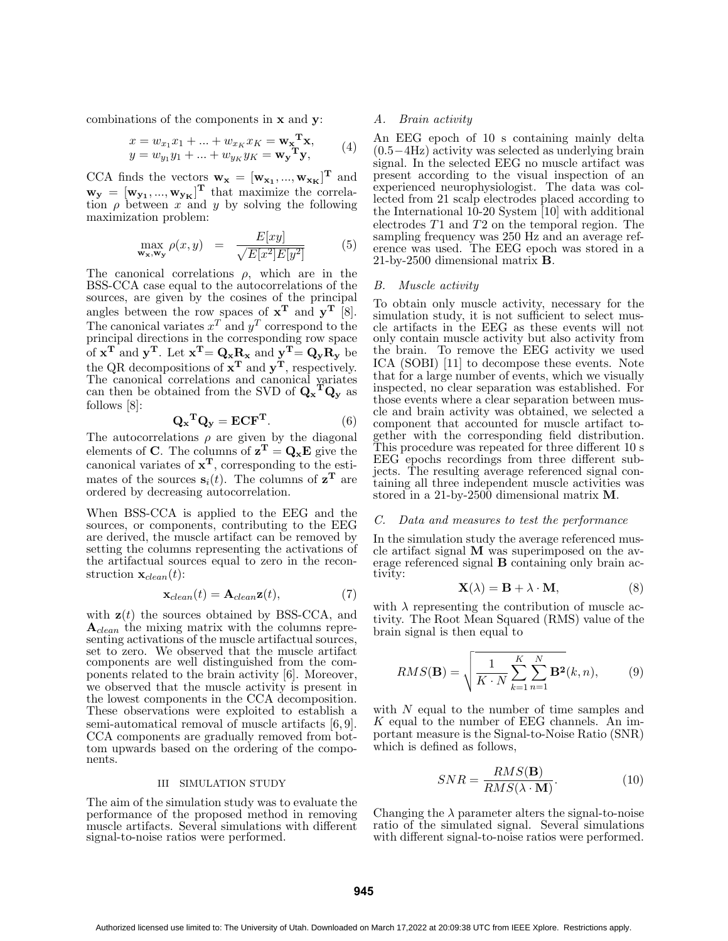combinations of the components in **x** and **y**:

$$
x = w_{x_1}x_1 + \dots + w_{x_K}x_K = \mathbf{w_x}^{\mathbf{T}}\mathbf{x},
$$
  
\n
$$
y = w_{y_1}y_1 + \dots + w_{y_K}y_K = \mathbf{w_y}^{\mathbf{T}}\mathbf{y},
$$
\n(4)

CCA finds the vectors  $\mathbf{w}_\mathbf{x} = [\mathbf{w}_{\mathbf{x}_1}, ..., \mathbf{w}_{\mathbf{x}_K}]^{\mathrm{T}}$  and  $\mathbf{w}_y = [\mathbf{w}_{y_1}, ..., \mathbf{w}_{y_K}]^{\mathrm{T}}$  that maximize the correlation  $\rho$  between x and y by solving the following maximization problem:

$$
\max_{\mathbf{w_x}, \mathbf{w_y}} \rho(x, y) = \frac{E[xy]}{\sqrt{E[x^2]E[y^2]}} \tag{5}
$$

The canonical correlations  $\rho$ , which are in the BSS-CCA case equal to the autocorrelations of the sources, are given by the cosines of the principal angles between the row spaces of  $x^T$  and  $y^T$  [8]. The canonical variates  $x^T$  and  $y^T$  correspond to the principal directions in the corresponding row space of  $\mathbf{x}^T$  and  $\mathbf{y}^T$ . Let  $\mathbf{x}^T = \mathbf{Q}_\mathbf{x} \mathbf{R}_\mathbf{x}$  and  $\mathbf{y}^T = \mathbf{Q}_\mathbf{y} \mathbf{R}_\mathbf{y}$  be the QR decompositions of **x<sup>T</sup>** and **yT**, respectively. The canonical correlations and canonical variates can then be obtained from the SVD of  $Q_x^T Q_y$  as follows [8]:

$$
\mathbf{Q_x}^{\mathbf{T}} \mathbf{Q_y} = \mathbf{E} \mathbf{C} \mathbf{F}^{\mathbf{T}}.
$$
 (6)

The autocorrelations  $\rho$  are given by the diagonal elements of **C**. The columns of  $z^T = Q_x E$  give the canonical variates of **xT**, corresponding to the estimates of the sources  $\mathbf{s}_i(t)$ . The columns of  $\mathbf{z}^T$  are ordered by decreasing autocorrelation.

When BSS-CCA is applied to the EEG and the sources, or components, contributing to the EEG are derived, the muscle artifact can be removed by setting the columns representing the activations of the artifactual sources equal to zero in the reconstruction  $\mathbf{x}_{clean}(t)$ :

$$
\mathbf{x}_{clean}(t) = \mathbf{A}_{clean}\mathbf{z}(t),\tag{7}
$$

with  $z(t)$  the sources obtained by BSS-CCA, and **A**clean the mixing matrix with the columns representing activations of the muscle artifactual sources, set to zero. We observed that the muscle artifact components are well distinguished from the components related to the brain activity [6]. Moreover, we observed that the muscle activity is present in the lowest components in the CCA decomposition. These observations were exploited to establish a semi-automatical removal of muscle artifacts [6, 9]. CCA components are gradually removed from bottom upwards based on the ordering of the components.

#### III SIMULATION STUDY

The aim of the simulation study was to evaluate the performance of the proposed method in removing muscle artifacts. Several simulations with different signal-to-noise ratios were performed.

# *A. Brain activity*

An EEG epoch of 10 s containing mainly delta (0.5−4Hz) activity was selected as underlying brain signal. In the selected EEG no muscle artifact was present according to the visual inspection of an experienced neurophysiologist. The data was collected from 21 scalp electrodes placed according to the International  $10-20$  System [10] with additional electrodes T1 and T2 on the temporal region. The sampling frequency was 250 Hz and an average reference was used. The EEG epoch was stored in a 21-by-2500 dimensional matrix **B**.

# *B. Muscle activity*

To obtain only muscle activity, necessary for the simulation study, it is not sufficient to select muscle artifacts in the EEG as these events will not only contain muscle activity but also activity from the brain. To remove the EEG activity we used ICA (SOBI) [11] to decompose these events. Note that for a large number of events, which we visually inspected, no clear separation was established. For those events where a clear separation between muscle and brain activity was obtained, we selected a component that accounted for muscle artifact together with the corresponding field distribution. This procedure was repeated for three different 10 s EEG epochs recordings from three different subjects. The resulting average referenced signal containing all three independent muscle activities was stored in a 21-by-2500 dimensional matrix **M**.

#### *C. Data and measures to test the performance*

In the simulation study the average referenced muscle artifact signal **M** was superimposed on the average referenced signal **B** containing only brain activity:

$$
\mathbf{X}(\lambda) = \mathbf{B} + \lambda \cdot \mathbf{M},\tag{8}
$$

with  $\lambda$  representing the contribution of muscle activity. The Root Mean Squared (RMS) value of the brain signal is then equal to

$$
RMS(\mathbf{B}) = \sqrt{\frac{1}{K \cdot N} \sum_{k=1}^{K} \sum_{n=1}^{N} \mathbf{B}^2(k, n)},
$$
(9)

with N equal to the number of time samples and  $K$  equal to the number of EEG channels. An important measure is the Signal-to-Noise Ratio (SNR) which is defined as follows,

$$
SNR = \frac{RMS(\mathbf{B})}{RMS(\lambda \cdot \mathbf{M})}.
$$
 (10)

Changing the  $\lambda$  parameter alters the signal-to-noise ratio of the simulated signal. Several simulations with different signal-to-noise ratios were performed.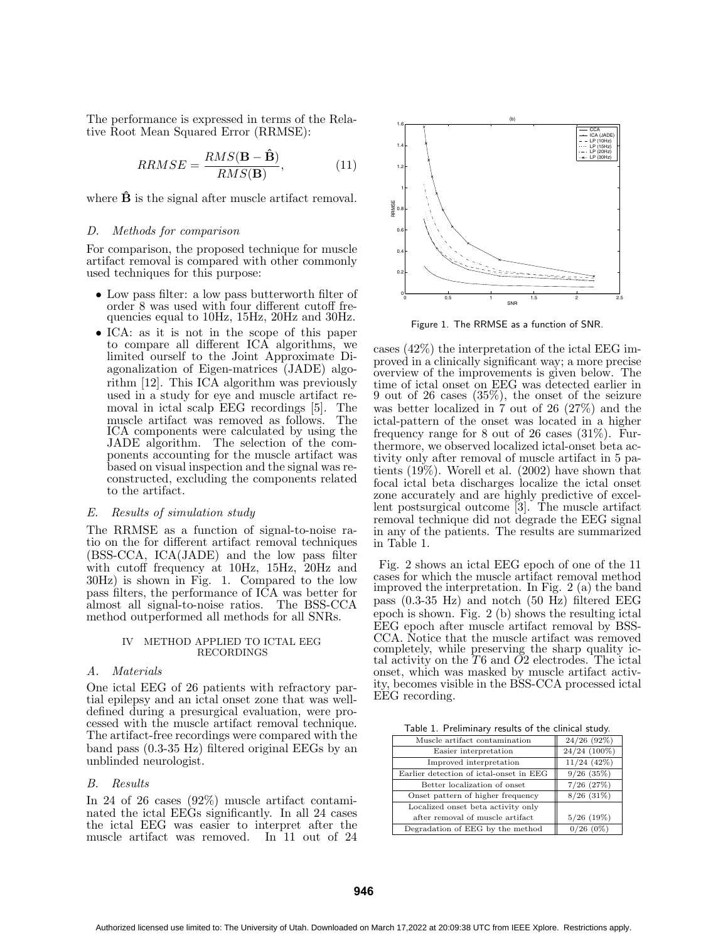The performance is expressed in terms of the Relative Root Mean Squared Error (RRMSE):

$$
RRMSE = \frac{RMS(\mathbf{B} - \hat{\mathbf{B}})}{RMS(\mathbf{B})},\tag{11}
$$

where  $\hat{\mathbf{B}}$  is the signal after muscle artifact removal.

#### *D. Methods for comparison*

For comparison, the proposed technique for muscle artifact removal is compared with other commonly used techniques for this purpose:

- Low pass filter: a low pass butterworth filter of order 8 was used with four different cutoff frequencies equal to 10Hz, 15Hz, 20Hz and 30Hz.
- ICA: as it is not in the scope of this paper to compare all different ICA algorithms, we limited ourself to the Joint Approximate Diagonalization of Eigen-matrices (JADE) algorithm [12]. This ICA algorithm was previously used in a study for eye and muscle artifact removal in ictal scalp EEG recordings [5]. The muscle artifact was removed as follows. The ICA components were calculated by using the JADE algorithm. The selection of the components accounting for the muscle artifact was based on visual inspection and the signal was reconstructed, excluding the components related to the artifact.

#### *E. Results of simulation study*

The RRMSE as a function of signal-to-noise ratio on the for different artifact removal techniques (BSS-CCA, ICA(JADE) and the low pass filter with cutoff frequency at 10Hz, 15Hz, 20Hz and 30Hz) is shown in Fig. 1. Compared to the low pass filters, the performance of ICA was better for almost all signal-to-noise ratios. The BSS-CCA method outperformed all methods for all SNRs.

#### IV METHOD APPLIED TO ICTAL EEG RECORDINGS

# *A. Materials*

One ictal EEG of 26 patients with refractory partial epilepsy and an ictal onset zone that was welldefined during a presurgical evaluation, were processed with the muscle artifact removal technique. The artifact-free recordings were compared with the band pass (0.3-35 Hz) filtered original EEGs by an unblinded neurologist.

# *B. Results*

In 24 of 26 cases (92%) muscle artifact contaminated the ictal EEGs significantly. In all 24 cases the ictal EEG was easier to interpret after the muscle artifact was removed. In 11 out of 24



Figure 1. The RRMSE as a function of SNR.

cases (42%) the interpretation of the ictal EEG improved in a clinically significant way; a more precise overview of the improvements is given below. The time of ictal onset on EEG was detected earlier in 9 out of 26 cases (35%), the onset of the seizure was better localized in 7 out of 26 (27%) and the ictal-pattern of the onset was located in a higher frequency range for 8 out of 26 cases (31%). Furthermore, we observed localized ictal-onset beta activity only after removal of muscle artifact in 5 patients (19%). Worell et al. (2002) have shown that focal ictal beta discharges localize the ictal onset zone accurately and are highly predictive of excellent postsurgical outcome [3]. The muscle artifact removal technique did not degrade the EEG signal in any of the patients. The results are summarized in Table 1.

Fig. 2 shows an ictal EEG epoch of one of the 11 cases for which the muscle artifact removal method improved the interpretation. In Fig. 2 (a) the band pass (0.3-35 Hz) and notch (50 Hz) filtered EEG epoch is shown. Fig. 2 (b) shows the resulting ictal EEG epoch after muscle artifact removal by BSS-CCA. Notice that the muscle artifact was removed completely, while preserving the sharp quality ictal activity on the T6 and O2 electrodes. The ictal onset, which was masked by muscle artifact activity, becomes visible in the BSS-CCA processed ictal EEG recording.

Table 1. Preliminary results of the clinical study.

| Muscle artifact contamination           | 24/26(92%)     |
|-----------------------------------------|----------------|
| Easier interpretation                   | 24/24 (100%)   |
| Improved interpretation                 | $11/24$ (42%)  |
| Earlier detection of ictal-onset in EEG | $9/26$ (35%)   |
| Better localization of onset            | $7/26$ $(27%)$ |
| Onset pattern of higher frequency       | $8/26$ (31%)   |
| Localized onset beta activity only      |                |
| after removal of muscle artifact        | $5/26$ (19%)   |
| Degradation of EEG by the method        | 0/26(0%)       |